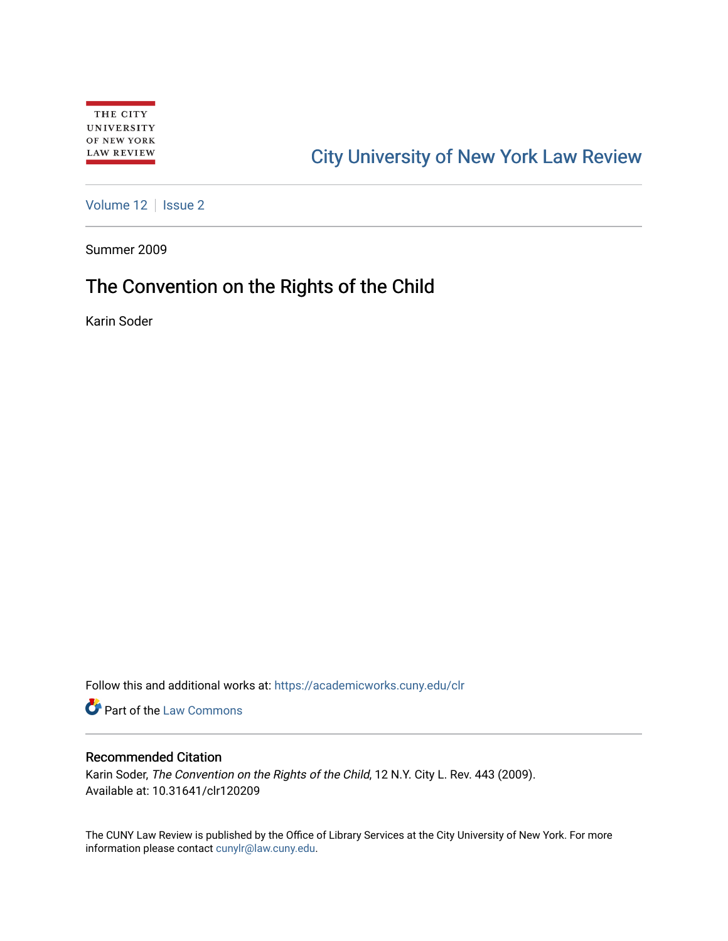# [City University of New York Law Review](https://academicworks.cuny.edu/clr)

[Volume 12](https://academicworks.cuny.edu/clr/vol12) | [Issue 2](https://academicworks.cuny.edu/clr/vol12/iss2)

Summer 2009

## The Convention on the Rights of the Child

Karin Soder

Follow this and additional works at: [https://academicworks.cuny.edu/clr](https://academicworks.cuny.edu/clr?utm_source=academicworks.cuny.edu%2Fclr%2Fvol12%2Fiss2%2F10&utm_medium=PDF&utm_campaign=PDFCoverPages) 

**Part of the [Law Commons](http://network.bepress.com/hgg/discipline/578?utm_source=academicworks.cuny.edu%2Fclr%2Fvol12%2Fiss2%2F10&utm_medium=PDF&utm_campaign=PDFCoverPages)** 

#### Recommended Citation

Karin Soder, The Convention on the Rights of the Child, 12 N.Y. City L. Rev. 443 (2009). Available at: 10.31641/clr120209

The CUNY Law Review is published by the Office of Library Services at the City University of New York. For more information please contact [cunylr@law.cuny.edu](mailto:cunylr@law.cuny.edu).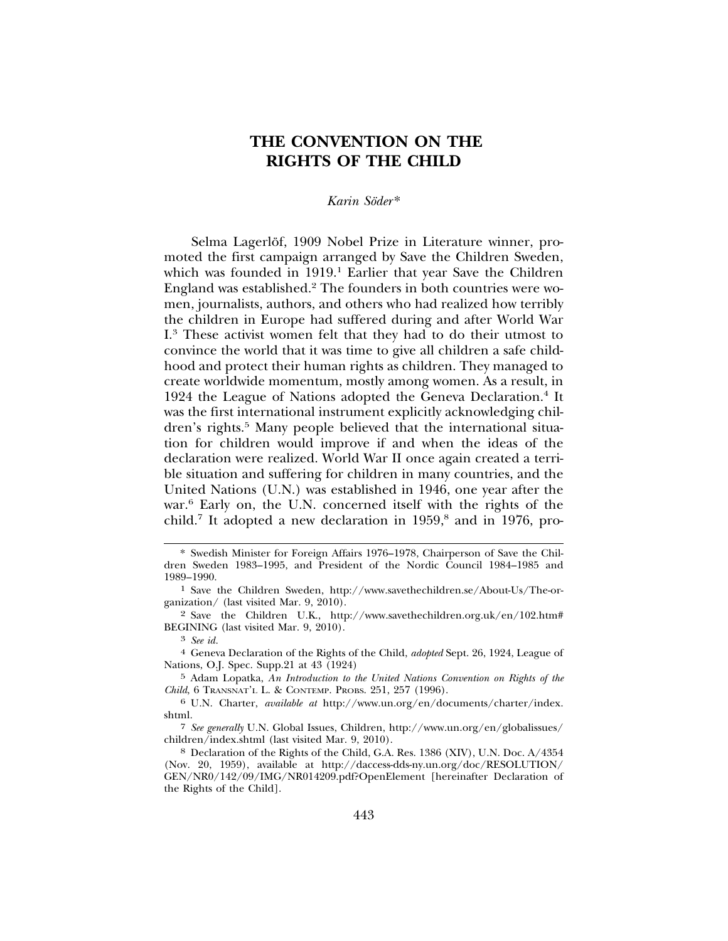### **THE CONVENTION ON THE RIGHTS OF THE CHILD**

#### *Karin Soder ¨* \*

Selma Lagerlöf, 1909 Nobel Prize in Literature winner, promoted the first campaign arranged by Save the Children Sweden, which was founded in 1919.<sup>1</sup> Earlier that year Save the Children England was established.<sup>2</sup> The founders in both countries were women, journalists, authors, and others who had realized how terribly the children in Europe had suffered during and after World War I.3 These activist women felt that they had to do their utmost to convince the world that it was time to give all children a safe childhood and protect their human rights as children. They managed to create worldwide momentum, mostly among women. As a result, in 1924 the League of Nations adopted the Geneva Declaration.<sup>4</sup> It was the first international instrument explicitly acknowledging children's rights.<sup>5</sup> Many people believed that the international situation for children would improve if and when the ideas of the declaration were realized. World War II once again created a terrible situation and suffering for children in many countries, and the United Nations (U.N.) was established in 1946, one year after the war.<sup>6</sup> Early on, the U.N. concerned itself with the rights of the child.<sup>7</sup> It adopted a new declaration in 1959,<sup>8</sup> and in 1976, pro-

<sup>\*</sup> Swedish Minister for Foreign Affairs 1976–1978, Chairperson of Save the Children Sweden 1983–1995, and President of the Nordic Council 1984–1985 and 1989–1990.

<sup>1</sup> Save the Children Sweden, http://www.savethechildren.se/About-Us/The-organization/ (last visited Mar. 9, 2010).

<sup>2</sup> Save the Children U.K., http://www.savethechildren.org.uk/en/102.htm# BEGINING (last visited Mar. 9, 2010).

<sup>3</sup> *See id.*

<sup>4</sup> Geneva Declaration of the Rights of the Child, *adopted* Sept. 26, 1924, League of Nations, O.J. Spec. Supp.21 at 43 (1924)

<sup>5</sup> Adam Lopatka, *An Introduction to the United Nations Convention on Rights of the Child*, 6 TRANSNAT'L L. & CONTEMP. PROBS. 251, 257 (1996).

<sup>6</sup> U.N. Charter, *available at* http://www.un.org/en/documents/charter/index. shtml.

<sup>7</sup> *See generally* U.N. Global Issues, Children, http://www.un.org/en/globalissues/ children/index.shtml (last visited Mar. 9, 2010).

<sup>8</sup> Declaration of the Rights of the Child, G.A. Res. 1386 (XIV), U.N. Doc. A/4354 (Nov. 20, 1959), available at http://daccess-dds-ny.un.org/doc/RESOLUTION/ GEN/NR0/142/09/IMG/NR014209.pdf?OpenElement [hereinafter Declaration of the Rights of the Child].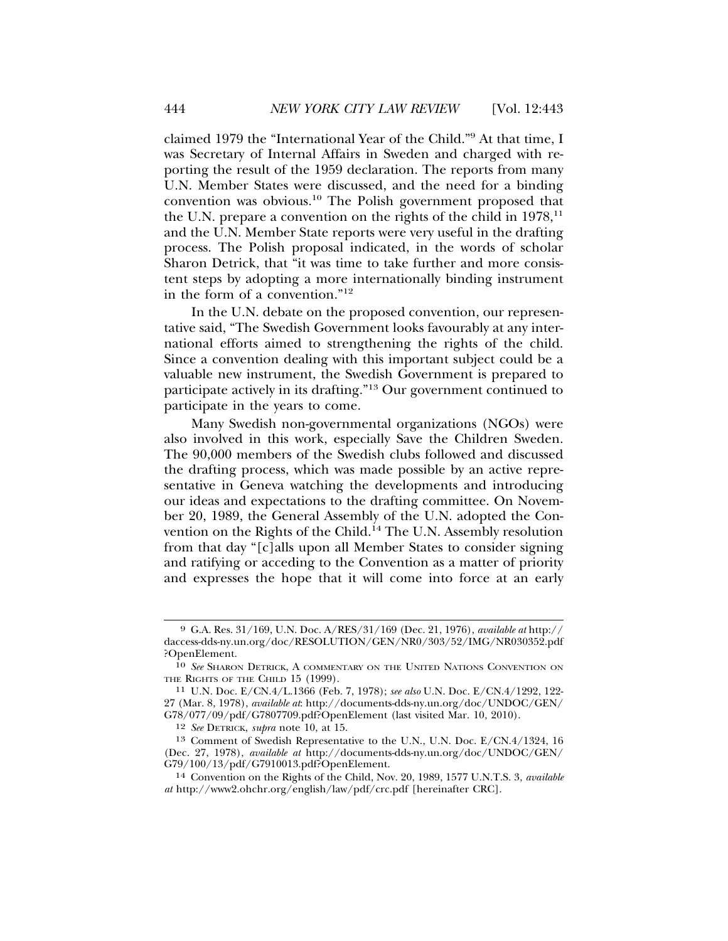claimed 1979 the "International Year of the Child."9 At that time, I was Secretary of Internal Affairs in Sweden and charged with reporting the result of the 1959 declaration. The reports from many U.N. Member States were discussed, and the need for a binding convention was obvious.10 The Polish government proposed that the U.N. prepare a convention on the rights of the child in  $1978$ ,<sup>11</sup> and the U.N. Member State reports were very useful in the drafting process. The Polish proposal indicated, in the words of scholar Sharon Detrick, that "it was time to take further and more consistent steps by adopting a more internationally binding instrument in the form of a convention."12

In the U.N. debate on the proposed convention, our representative said, "The Swedish Government looks favourably at any international efforts aimed to strengthening the rights of the child. Since a convention dealing with this important subject could be a valuable new instrument, the Swedish Government is prepared to participate actively in its drafting."13 Our government continued to participate in the years to come.

Many Swedish non-governmental organizations (NGOs) were also involved in this work, especially Save the Children Sweden. The 90,000 members of the Swedish clubs followed and discussed the drafting process, which was made possible by an active representative in Geneva watching the developments and introducing our ideas and expectations to the drafting committee. On November 20, 1989, the General Assembly of the U.N. adopted the Convention on the Rights of the Child.<sup>14</sup> The U.N. Assembly resolution from that day "[c]alls upon all Member States to consider signing and ratifying or acceding to the Convention as a matter of priority and expresses the hope that it will come into force at an early

<sup>9</sup> G.A. Res. 31/169, U.N. Doc. A/RES/31/169 (Dec. 21, 1976), *available at* http:// daccess-dds-ny.un.org/doc/RESOLUTION/GEN/NR0/303/52/IMG/NR030352.pdf ?OpenElement.

<sup>10</sup> *See* SHARON DETRICK, A COMMENTARY ON THE UNITED NATIONS CONVENTION ON THE RIGHTS OF THE CHILD 15 (1999).

<sup>11</sup> U.N. Doc. E/CN.4/L.1366 (Feb. 7, 1978); *see also* U.N. Doc. E/CN.4/1292, 122- 27 (Mar. 8, 1978), *available at*: http://documents-dds-ny.un.org/doc/UNDOC/GEN/ G78/077/09/pdf/G7807709.pdf?OpenElement (last visited Mar. 10, 2010).

<sup>12</sup> *See* DETRICK, *supra* note 10, at 15.

<sup>13</sup> Comment of Swedish Representative to the U.N., U.N. Doc. E/CN.4/1324, 16 (Dec. 27, 1978), *available at* http://documents-dds-ny.un.org/doc/UNDOC/GEN/ G79/100/13/pdf/G7910013.pdf?OpenElement.

<sup>14</sup> Convention on the Rights of the Child, Nov. 20, 1989, 1577 U.N.T.S. 3, *available at* http://www2.ohchr.org/english/law/pdf/crc.pdf [hereinafter CRC].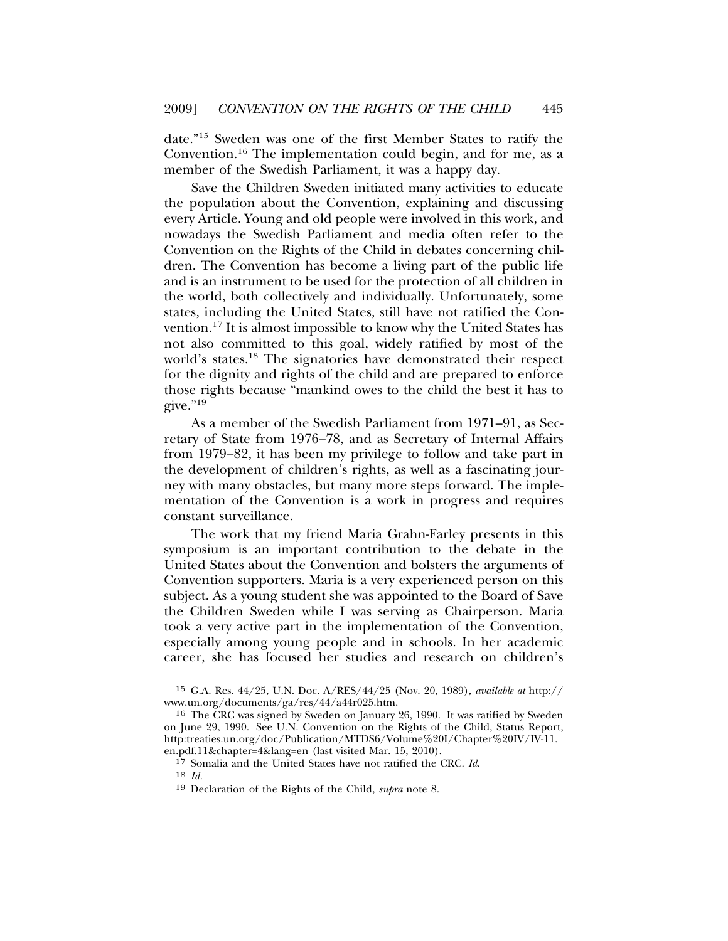date."15 Sweden was one of the first Member States to ratify the Convention.16 The implementation could begin, and for me, as a member of the Swedish Parliament, it was a happy day.

Save the Children Sweden initiated many activities to educate the population about the Convention, explaining and discussing every Article. Young and old people were involved in this work, and nowadays the Swedish Parliament and media often refer to the Convention on the Rights of the Child in debates concerning children. The Convention has become a living part of the public life and is an instrument to be used for the protection of all children in the world, both collectively and individually. Unfortunately, some states, including the United States, still have not ratified the Convention.17 It is almost impossible to know why the United States has not also committed to this goal, widely ratified by most of the world's states.18 The signatories have demonstrated their respect for the dignity and rights of the child and are prepared to enforce those rights because "mankind owes to the child the best it has to give."19

As a member of the Swedish Parliament from 1971–91, as Secretary of State from 1976–78, and as Secretary of Internal Affairs from 1979–82, it has been my privilege to follow and take part in the development of children's rights, as well as a fascinating journey with many obstacles, but many more steps forward. The implementation of the Convention is a work in progress and requires constant surveillance.

The work that my friend Maria Grahn-Farley presents in this symposium is an important contribution to the debate in the United States about the Convention and bolsters the arguments of Convention supporters. Maria is a very experienced person on this subject. As a young student she was appointed to the Board of Save the Children Sweden while I was serving as Chairperson. Maria took a very active part in the implementation of the Convention, especially among young people and in schools. In her academic career, she has focused her studies and research on children's

17 Somalia and the United States have not ratified the CRC. *Id*. 18 *Id.*

<sup>15</sup> G.A. Res. 44/25, U.N. Doc. A/RES/44/25 (Nov. 20, 1989)*, available at* http:// www.un.org/documents/ga/res/44/a44r025.htm.

<sup>16</sup> The CRC was signed by Sweden on January 26, 1990. It was ratified by Sweden on June 29, 1990. See U.N. Convention on the Rights of the Child, Status Report, http:treaties.un.org/doc/Publication/MTDS6/Volume%20I/Chapter%20IV/IV-11. en.pdf.11&chapter=4&lang=en (last visited Mar. 15, 2010).

<sup>19</sup> Declaration of the Rights of the Child, *supra* note 8.